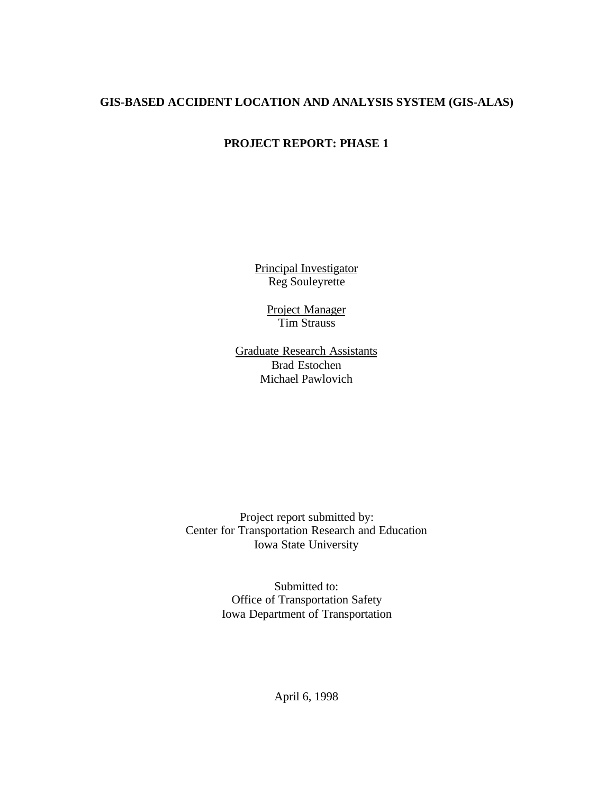### **GIS-BASED ACCIDENT LOCATION AND ANALYSIS SYSTEM (GIS-ALAS)**

## **PROJECT REPORT: PHASE 1**

Principal Investigator Reg Souleyrette

> Project Manager Tim Strauss

Graduate Research Assistants Brad Estochen Michael Pawlovich

Project report submitted by: Center for Transportation Research and Education Iowa State University

> Submitted to: Office of Transportation Safety Iowa Department of Transportation

> > April 6, 1998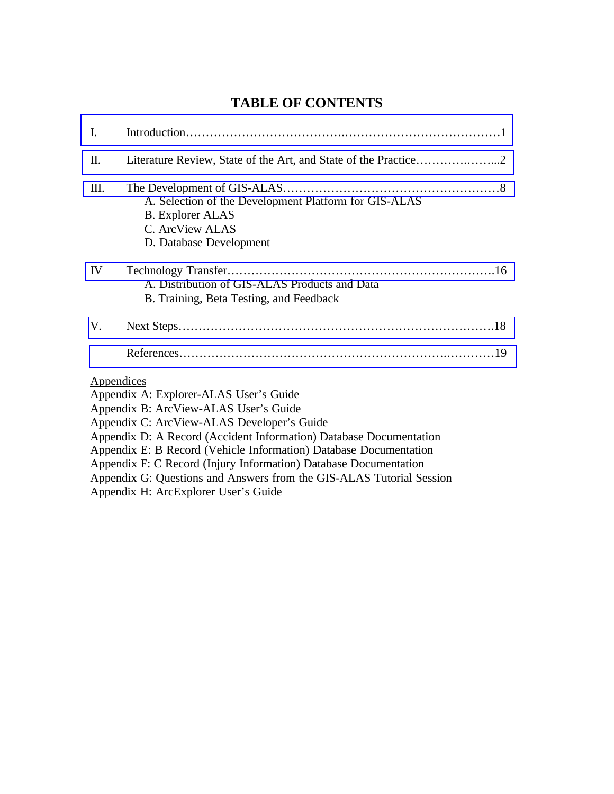# **TABLE OF CONTENTS**

| I.         |                                                                                                                                                                                                                                                                                                                                                                                                                      |  |
|------------|----------------------------------------------------------------------------------------------------------------------------------------------------------------------------------------------------------------------------------------------------------------------------------------------------------------------------------------------------------------------------------------------------------------------|--|
| II.        |                                                                                                                                                                                                                                                                                                                                                                                                                      |  |
| Ш.         | A. Selection of the Development Platform for GIS-ALAS<br><b>B.</b> Explorer ALAS<br>C. ArcView ALAS<br>D. Database Development                                                                                                                                                                                                                                                                                       |  |
| IV         | A. Distribution of GIS-ALAS Products and Data<br>B. Training, Beta Testing, and Feedback                                                                                                                                                                                                                                                                                                                             |  |
| V.         |                                                                                                                                                                                                                                                                                                                                                                                                                      |  |
|            |                                                                                                                                                                                                                                                                                                                                                                                                                      |  |
| Appendices | Appendix A: Explorer-ALAS User's Guide<br>Appendix B: ArcView-ALAS User's Guide<br>Appendix C: ArcView-ALAS Developer's Guide<br>Appendix D: A Record (Accident Information) Database Documentation<br>Appendix E: B Record (Vehicle Information) Database Documentation<br>Appendix F: C Record (Injury Information) Database Documentation<br>Appendix G: Questions and Answers from the GIS-ALAS Tutorial Session |  |
|            | Appendix H: ArcExplorer User's Guide                                                                                                                                                                                                                                                                                                                                                                                 |  |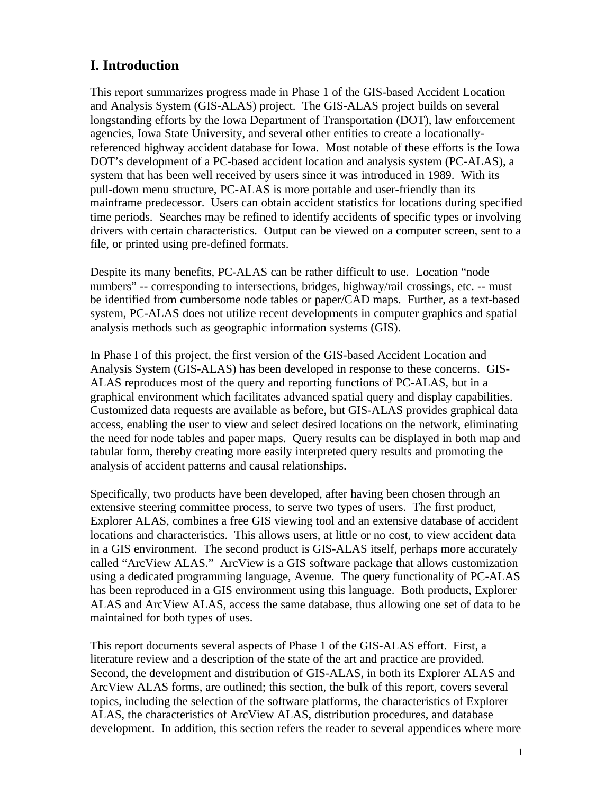# <span id="page-2-0"></span>**I. Introduction**

This report summarizes progress made in Phase 1 of the GIS-based Accident Location and Analysis System (GIS-ALAS) project. The GIS-ALAS project builds on several longstanding efforts by the Iowa Department of Transportation (DOT), law enforcement agencies, Iowa State University, and several other entities to create a locationallyreferenced highway accident database for Iowa. Most notable of these efforts is the Iowa DOT's development of a PC-based accident location and analysis system (PC-ALAS), a system that has been well received by users since it was introduced in 1989. With its pull-down menu structure, PC-ALAS is more portable and user-friendly than its mainframe predecessor. Users can obtain accident statistics for locations during specified time periods. Searches may be refined to identify accidents of specific types or involving drivers with certain characteristics. Output can be viewed on a computer screen, sent to a file, or printed using pre-defined formats.

Despite its many benefits, PC-ALAS can be rather difficult to use. Location "node numbers" -- corresponding to intersections, bridges, highway/rail crossings, etc. -- must be identified from cumbersome node tables or paper/CAD maps. Further, as a text-based system, PC-ALAS does not utilize recent developments in computer graphics and spatial analysis methods such as geographic information systems (GIS).

In Phase I of this project, the first version of the GIS-based Accident Location and Analysis System (GIS-ALAS) has been developed in response to these concerns. GIS-ALAS reproduces most of the query and reporting functions of PC-ALAS, but in a graphical environment which facilitates advanced spatial query and display capabilities. Customized data requests are available as before, but GIS-ALAS provides graphical data access, enabling the user to view and select desired locations on the network, eliminating the need for node tables and paper maps. Query results can be displayed in both map and tabular form, thereby creating more easily interpreted query results and promoting the analysis of accident patterns and causal relationships.

Specifically, two products have been developed, after having been chosen through an extensive steering committee process, to serve two types of users. The first product, Explorer ALAS, combines a free GIS viewing tool and an extensive database of accident locations and characteristics. This allows users, at little or no cost, to view accident data in a GIS environment. The second product is GIS-ALAS itself, perhaps more accurately called "ArcView ALAS." ArcView is a GIS software package that allows customization using a dedicated programming language, Avenue. The query functionality of PC-ALAS has been reproduced in a GIS environment using this language. Both products, Explorer ALAS and ArcView ALAS, access the same database, thus allowing one set of data to be maintained for both types of uses.

This report documents several aspects of Phase 1 of the GIS-ALAS effort. First, a literature review and a description of the state of the art and practice are provided. Second, the development and distribution of GIS-ALAS, in both its Explorer ALAS and ArcView ALAS forms, are outlined; this section, the bulk of this report, covers several topics, including the selection of the software platforms, the characteristics of Explorer ALAS, the characteristics of ArcView ALAS, distribution procedures, and database development. In addition, this section refers the reader to several appendices where more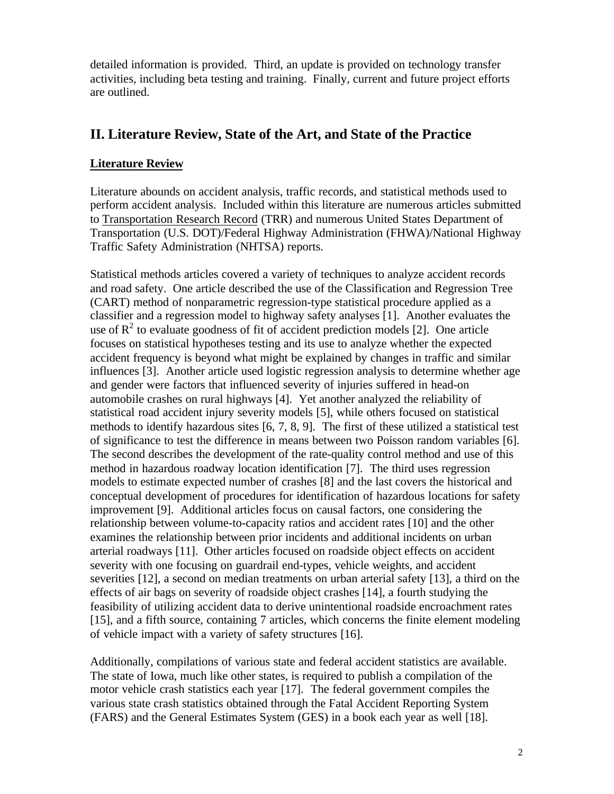<span id="page-3-0"></span>detailed information is provided. Third, an update is provided on technology transfer activities, including beta testing and training. Finally, current and future project efforts are outlined.

## **II. Literature Review, State of the Art, and State of the Practice**

### **Literature Review**

Literature abounds on accident analysis, traffic records, and statistical methods used to perform accident analysis. Included within this literature are numerous articles submitted to Transportation Research Record (TRR) and numerous United States Department of Transportation (U.S. DOT)/Federal Highway Administration (FHWA)/National Highway Traffic Safety Administration (NHTSA) reports.

Statistical methods articles covered a variety of techniques to analyze accident records and road safety. One article described the use of the Classification and Regression Tree (CART) method of nonparametric regression-type statistical procedure applied as a classifier and a regression model to highway safety analyses [1]. Another evaluates the use of  $\mathbb{R}^2$  to evaluate goodness of fit of accident prediction models [2]. One article focuses on statistical hypotheses testing and its use to analyze whether the expected accident frequency is beyond what might be explained by changes in traffic and similar influences [3]. Another article used logistic regression analysis to determine whether age and gender were factors that influenced severity of injuries suffered in head-on automobile crashes on rural highways [4]. Yet another analyzed the reliability of statistical road accident injury severity models [5], while others focused on statistical methods to identify hazardous sites [6, 7, 8, 9]. The first of these utilized a statistical test of significance to test the difference in means between two Poisson random variables [6]. The second describes the development of the rate-quality control method and use of this method in hazardous roadway location identification [7]. The third uses regression models to estimate expected number of crashes [8] and the last covers the historical and conceptual development of procedures for identification of hazardous locations for safety improvement [9]. Additional articles focus on causal factors, one considering the relationship between volume-to-capacity ratios and accident rates [10] and the other examines the relationship between prior incidents and additional incidents on urban arterial roadways [11]. Other articles focused on roadside object effects on accident severity with one focusing on guardrail end-types, vehicle weights, and accident severities [12], a second on median treatments on urban arterial safety [13], a third on the effects of air bags on severity of roadside object crashes [14], a fourth studying the feasibility of utilizing accident data to derive unintentional roadside encroachment rates [15], and a fifth source, containing 7 articles, which concerns the finite element modeling of vehicle impact with a variety of safety structures [16].

Additionally, compilations of various state and federal accident statistics are available. The state of Iowa, much like other states, is required to publish a compilation of the motor vehicle crash statistics each year [17]. The federal government compiles the various state crash statistics obtained through the Fatal Accident Reporting System (FARS) and the General Estimates System (GES) in a book each year as well [18].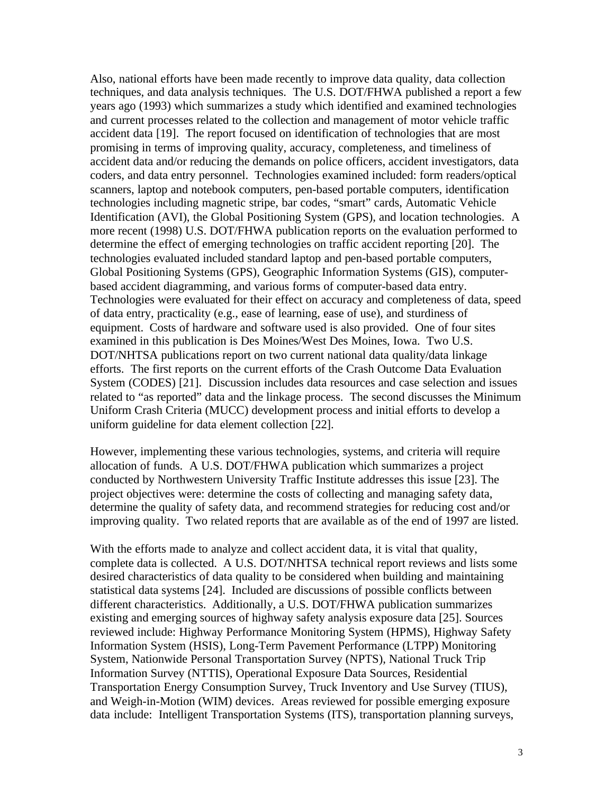Also, national efforts have been made recently to improve data quality, data collection techniques, and data analysis techniques. The U.S. DOT/FHWA published a report a few years ago (1993) which summarizes a study which identified and examined technologies and current processes related to the collection and management of motor vehicle traffic accident data [19]. The report focused on identification of technologies that are most promising in terms of improving quality, accuracy, completeness, and timeliness of accident data and/or reducing the demands on police officers, accident investigators, data coders, and data entry personnel. Technologies examined included: form readers/optical scanners, laptop and notebook computers, pen-based portable computers, identification technologies including magnetic stripe, bar codes, "smart" cards, Automatic Vehicle Identification (AVI), the Global Positioning System (GPS), and location technologies. A more recent (1998) U.S. DOT/FHWA publication reports on the evaluation performed to determine the effect of emerging technologies on traffic accident reporting [20]. The technologies evaluated included standard laptop and pen-based portable computers, Global Positioning Systems (GPS), Geographic Information Systems (GIS), computerbased accident diagramming, and various forms of computer-based data entry. Technologies were evaluated for their effect on accuracy and completeness of data, speed of data entry, practicality (e.g., ease of learning, ease of use), and sturdiness of equipment. Costs of hardware and software used is also provided. One of four sites examined in this publication is Des Moines/West Des Moines, Iowa. Two U.S. DOT/NHTSA publications report on two current national data quality/data linkage efforts. The first reports on the current efforts of the Crash Outcome Data Evaluation System (CODES) [21]. Discussion includes data resources and case selection and issues related to "as reported" data and the linkage process. The second discusses the Minimum Uniform Crash Criteria (MUCC) development process and initial efforts to develop a uniform guideline for data element collection [22].

However, implementing these various technologies, systems, and criteria will require allocation of funds. A U.S. DOT/FHWA publication which summarizes a project conducted by Northwestern University Traffic Institute addresses this issue [23]. The project objectives were: determine the costs of collecting and managing safety data, determine the quality of safety data, and recommend strategies for reducing cost and/or improving quality. Two related reports that are available as of the end of 1997 are listed.

With the efforts made to analyze and collect accident data, it is vital that quality, complete data is collected. A U.S. DOT/NHTSA technical report reviews and lists some desired characteristics of data quality to be considered when building and maintaining statistical data systems [24]. Included are discussions of possible conflicts between different characteristics. Additionally, a U.S. DOT/FHWA publication summarizes existing and emerging sources of highway safety analysis exposure data [25]. Sources reviewed include: Highway Performance Monitoring System (HPMS), Highway Safety Information System (HSIS), Long-Term Pavement Performance (LTPP) Monitoring System, Nationwide Personal Transportation Survey (NPTS), National Truck Trip Information Survey (NTTIS), Operational Exposure Data Sources, Residential Transportation Energy Consumption Survey, Truck Inventory and Use Survey (TIUS), and Weigh-in-Motion (WIM) devices. Areas reviewed for possible emerging exposure data include: Intelligent Transportation Systems (ITS), transportation planning surveys,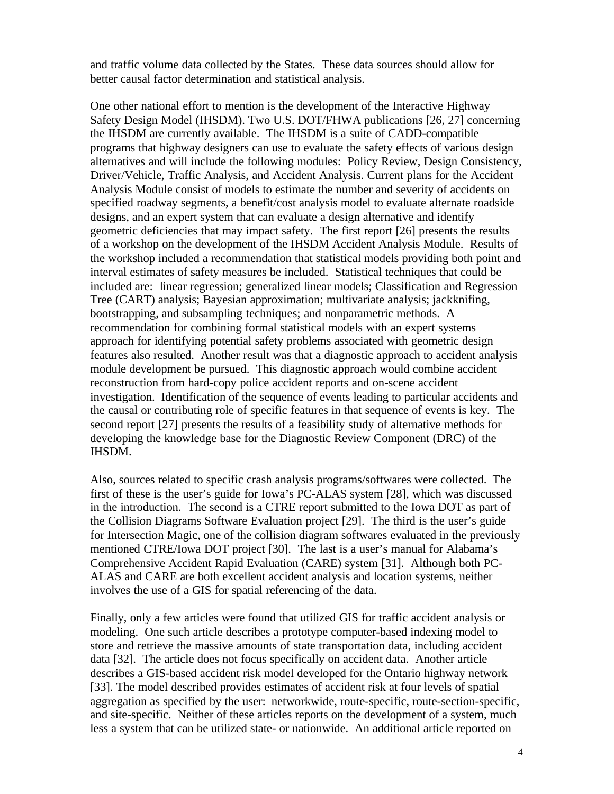and traffic volume data collected by the States. These data sources should allow for better causal factor determination and statistical analysis.

One other national effort to mention is the development of the Interactive Highway Safety Design Model (IHSDM). Two U.S. DOT/FHWA publications [26, 27] concerning the IHSDM are currently available. The IHSDM is a suite of CADD-compatible programs that highway designers can use to evaluate the safety effects of various design alternatives and will include the following modules: Policy Review, Design Consistency, Driver/Vehicle, Traffic Analysis, and Accident Analysis. Current plans for the Accident Analysis Module consist of models to estimate the number and severity of accidents on specified roadway segments, a benefit/cost analysis model to evaluate alternate roadside designs, and an expert system that can evaluate a design alternative and identify geometric deficiencies that may impact safety. The first report [26] presents the results of a workshop on the development of the IHSDM Accident Analysis Module. Results of the workshop included a recommendation that statistical models providing both point and interval estimates of safety measures be included. Statistical techniques that could be included are: linear regression; generalized linear models; Classification and Regression Tree (CART) analysis; Bayesian approximation; multivariate analysis; jackknifing, bootstrapping, and subsampling techniques; and nonparametric methods. A recommendation for combining formal statistical models with an expert systems approach for identifying potential safety problems associated with geometric design features also resulted. Another result was that a diagnostic approach to accident analysis module development be pursued. This diagnostic approach would combine accident reconstruction from hard-copy police accident reports and on-scene accident investigation. Identification of the sequence of events leading to particular accidents and the causal or contributing role of specific features in that sequence of events is key. The second report [27] presents the results of a feasibility study of alternative methods for developing the knowledge base for the Diagnostic Review Component (DRC) of the IHSDM.

Also, sources related to specific crash analysis programs/softwares were collected. The first of these is the user's guide for Iowa's PC-ALAS system [28], which was discussed in the introduction. The second is a CTRE report submitted to the Iowa DOT as part of the Collision Diagrams Software Evaluation project [29]. The third is the user's guide for Intersection Magic, one of the collision diagram softwares evaluated in the previously mentioned CTRE/Iowa DOT project [30]. The last is a user's manual for Alabama's Comprehensive Accident Rapid Evaluation (CARE) system [31]. Although both PC-ALAS and CARE are both excellent accident analysis and location systems, neither involves the use of a GIS for spatial referencing of the data.

Finally, only a few articles were found that utilized GIS for traffic accident analysis or modeling. One such article describes a prototype computer-based indexing model to store and retrieve the massive amounts of state transportation data, including accident data [32]. The article does not focus specifically on accident data. Another article describes a GIS-based accident risk model developed for the Ontario highway network [33]. The model described provides estimates of accident risk at four levels of spatial aggregation as specified by the user: networkwide, route-specific, route-section-specific, and site-specific. Neither of these articles reports on the development of a system, much less a system that can be utilized state- or nationwide. An additional article reported on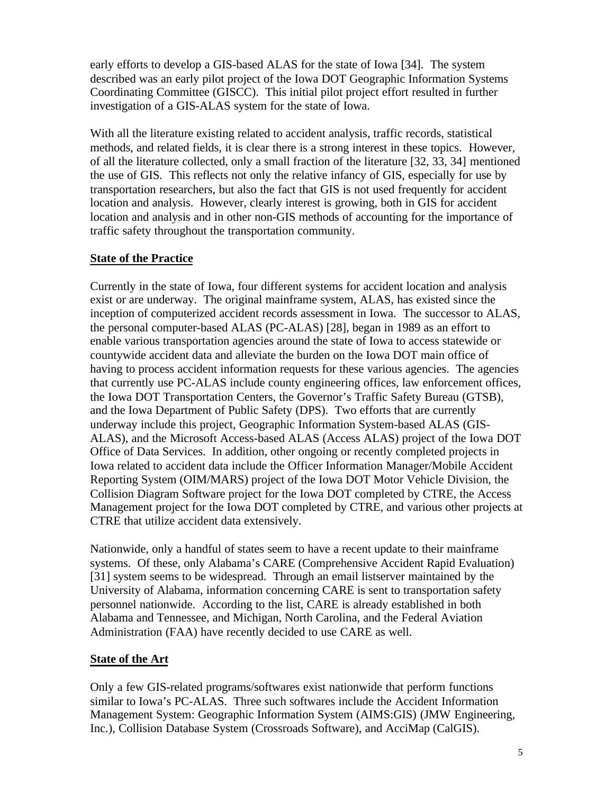early efforts to develop a GIS-based ALAS for the state of Iowa [34]. The system described was an early pilot project of the Iowa DOT Geographic Information Systems Coordinating Committee (GISCC). This initial pilot project effort resulted in further investigation of a GIS-ALAS system for the state of Iowa.

With all the literature existing related to accident analysis, traffic records, statistical methods, and related fields, it is clear there is a strong interest in these topics. However, of all the literature collected, only a small fraction of the literature [32, 33, 34] mentioned the use of GIS. This reflects not only the relative infancy of GIS, especially for use by transportation researchers, but also the fact that GIS is not used frequently for accident location and analysis. However, clearly interest is growing, both in GIS for accident location and analysis and in other non-GIS methods of accounting for the importance of traffic safety throughout the transportation community.

#### **State of the Practice**

Currently in the state of Iowa, four different systems for accident location and analysis exist or are underway. The original mainframe system, ALAS, has existed since the inception of computerized accident records assessment in Iowa. The successor to ALAS, the personal computer-based ALAS (PC-ALAS) [28], began in 1989 as an effort to enable various transportation agencies around the state of Iowa to access statewide or countywide accident data and alleviate the burden on the Iowa DOT main office of having to process accident information requests for these various agencies. The agencies that currently use PC-ALAS include county engineering offices, law enforcement offices, the Iowa DOT Transportation Centers, the Governor's Traffic Safety Bureau (GTSB), and the Iowa Department of Public Safety (DPS). Two efforts that are currently underway include this project, Geographic Information System-based ALAS (GIS-ALAS), and the Microsoft Access-based ALAS (Access ALAS) project of the Iowa DOT Office of Data Services. In addition, other ongoing or recently completed projects in Iowa related to accident data include the Officer Information Manager/Mobile Accident Reporting System (OIM/MARS) project of the Iowa DOT Motor Vehicle Division, the Collision Diagram Software project for the Iowa DOT completed by CTRE, the Access Management project for the Iowa DOT completed by CTRE, and various other projects at CTRE that utilize accident data extensively.

Nationwide, only a handful of states seem to have a recent update to their mainframe systems. Of these, only Alabama's CARE (Comprehensive Accident Rapid Evaluation) [31] system seems to be widespread. Through an email listserver maintained by the University of Alabama, information concerning CARE is sent to transportation safety personnel nationwide. According to the list, CARE is already established in both Alabama and Tennessee, and Michigan, North Carolina, and the Federal Aviation Administration (FAA) have recently decided to use CARE as well.

#### **State of the Art**

Only a few GIS-related programs/softwares exist nationwide that perform functions similar to Iowa's PC-ALAS. Three such softwares include the Accident Information Management System: Geographic Information System (AIMS:GIS) (JMW Engineering, Inc.), Collision Database System (Crossroads Software), and AcciMap (CalGIS).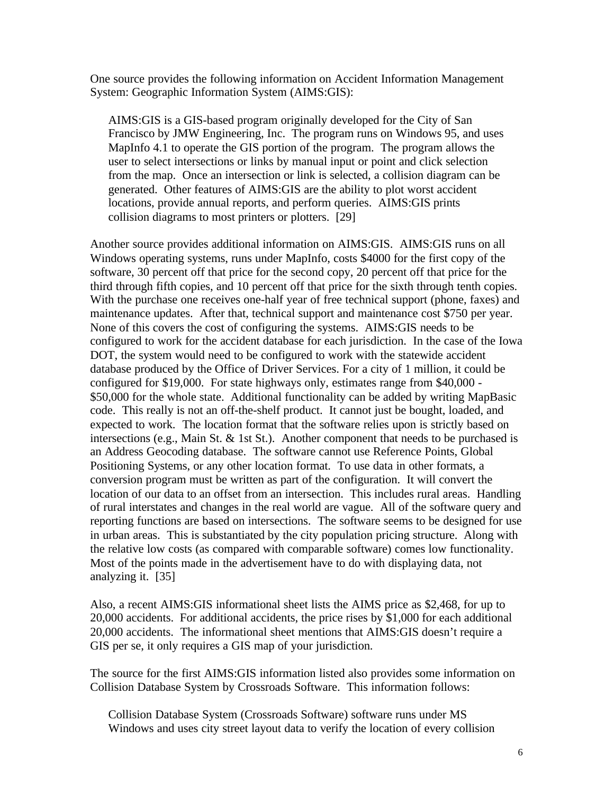One source provides the following information on Accident Information Management System: Geographic Information System (AIMS:GIS):

AIMS:GIS is a GIS-based program originally developed for the City of San Francisco by JMW Engineering, Inc. The program runs on Windows 95, and uses MapInfo 4.1 to operate the GIS portion of the program. The program allows the user to select intersections or links by manual input or point and click selection from the map. Once an intersection or link is selected, a collision diagram can be generated. Other features of AIMS:GIS are the ability to plot worst accident locations, provide annual reports, and perform queries. AIMS:GIS prints collision diagrams to most printers or plotters. [29]

Another source provides additional information on AIMS:GIS. AIMS:GIS runs on all Windows operating systems, runs under MapInfo, costs \$4000 for the first copy of the software, 30 percent off that price for the second copy, 20 percent off that price for the third through fifth copies, and 10 percent off that price for the sixth through tenth copies. With the purchase one receives one-half year of free technical support (phone, faxes) and maintenance updates. After that, technical support and maintenance cost \$750 per year. None of this covers the cost of configuring the systems. AIMS:GIS needs to be configured to work for the accident database for each jurisdiction. In the case of the Iowa DOT, the system would need to be configured to work with the statewide accident database produced by the Office of Driver Services. For a city of 1 million, it could be configured for \$19,000. For state highways only, estimates range from \$40,000 - \$50,000 for the whole state. Additional functionality can be added by writing MapBasic code. This really is not an off-the-shelf product. It cannot just be bought, loaded, and expected to work. The location format that the software relies upon is strictly based on intersections (e.g., Main St. & 1st St.). Another component that needs to be purchased is an Address Geocoding database. The software cannot use Reference Points, Global Positioning Systems, or any other location format. To use data in other formats, a conversion program must be written as part of the configuration. It will convert the location of our data to an offset from an intersection. This includes rural areas. Handling of rural interstates and changes in the real world are vague. All of the software query and reporting functions are based on intersections. The software seems to be designed for use in urban areas. This is substantiated by the city population pricing structure. Along with the relative low costs (as compared with comparable software) comes low functionality. Most of the points made in the advertisement have to do with displaying data, not analyzing it. [35]

Also, a recent AIMS:GIS informational sheet lists the AIMS price as \$2,468, for up to 20,000 accidents. For additional accidents, the price rises by \$1,000 for each additional 20,000 accidents. The informational sheet mentions that AIMS:GIS doesn't require a GIS per se, it only requires a GIS map of your jurisdiction.

The source for the first AIMS:GIS information listed also provides some information on Collision Database System by Crossroads Software. This information follows:

Collision Database System (Crossroads Software) software runs under MS Windows and uses city street layout data to verify the location of every collision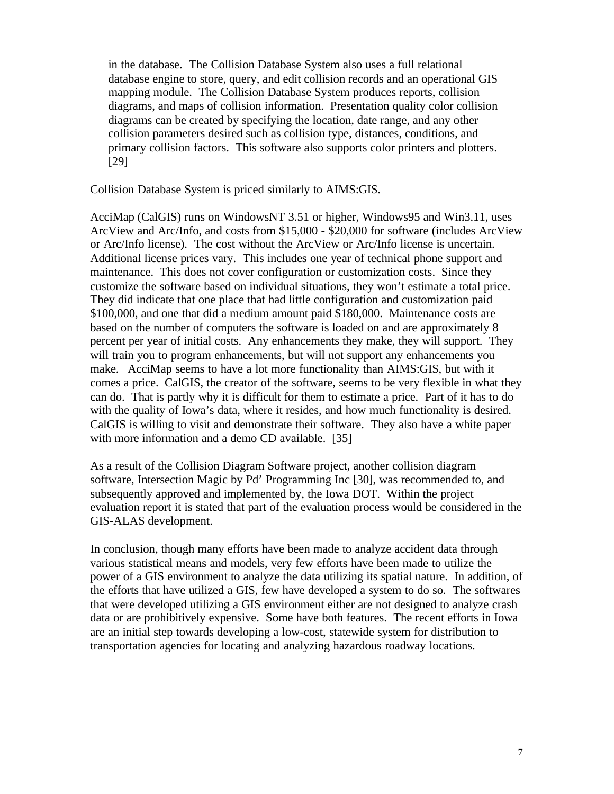in the database. The Collision Database System also uses a full relational database engine to store, query, and edit collision records and an operational GIS mapping module. The Collision Database System produces reports, collision diagrams, and maps of collision information. Presentation quality color collision diagrams can be created by specifying the location, date range, and any other collision parameters desired such as collision type, distances, conditions, and primary collision factors. This software also supports color printers and plotters. [29]

Collision Database System is priced similarly to AIMS:GIS.

AcciMap (CalGIS) runs on WindowsNT 3.51 or higher, Windows95 and Win3.11, uses ArcView and Arc/Info, and costs from \$15,000 - \$20,000 for software (includes ArcView or Arc/Info license). The cost without the ArcView or Arc/Info license is uncertain. Additional license prices vary. This includes one year of technical phone support and maintenance. This does not cover configuration or customization costs. Since they customize the software based on individual situations, they won't estimate a total price. They did indicate that one place that had little configuration and customization paid \$100,000, and one that did a medium amount paid \$180,000. Maintenance costs are based on the number of computers the software is loaded on and are approximately 8 percent per year of initial costs. Any enhancements they make, they will support. They will train you to program enhancements, but will not support any enhancements you make. AcciMap seems to have a lot more functionality than AIMS:GIS, but with it comes a price. CalGIS, the creator of the software, seems to be very flexible in what they can do. That is partly why it is difficult for them to estimate a price. Part of it has to do with the quality of Iowa's data, where it resides, and how much functionality is desired. CalGIS is willing to visit and demonstrate their software. They also have a white paper with more information and a demo CD available. [35]

As a result of the Collision Diagram Software project, another collision diagram software, Intersection Magic by Pd' Programming Inc [30], was recommended to, and subsequently approved and implemented by, the Iowa DOT. Within the project evaluation report it is stated that part of the evaluation process would be considered in the GIS-ALAS development.

In conclusion, though many efforts have been made to analyze accident data through various statistical means and models, very few efforts have been made to utilize the power of a GIS environment to analyze the data utilizing its spatial nature. In addition, of the efforts that have utilized a GIS, few have developed a system to do so. The softwares that were developed utilizing a GIS environment either are not designed to analyze crash data or are prohibitively expensive. Some have both features. The recent efforts in Iowa are an initial step towards developing a low-cost, statewide system for distribution to transportation agencies for locating and analyzing hazardous roadway locations.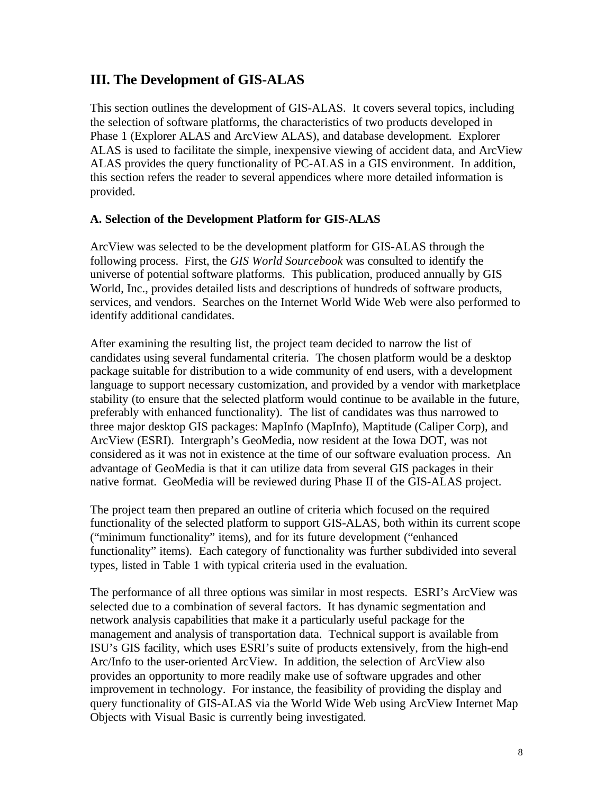## <span id="page-9-0"></span>**III. The Development of GIS-ALAS**

This section outlines the development of GIS-ALAS. It covers several topics, including the selection of software platforms, the characteristics of two products developed in Phase 1 (Explorer ALAS and ArcView ALAS), and database development. Explorer ALAS is used to facilitate the simple, inexpensive viewing of accident data, and ArcView ALAS provides the query functionality of PC-ALAS in a GIS environment. In addition, this section refers the reader to several appendices where more detailed information is provided.

#### **A. Selection of the Development Platform for GIS-ALAS**

ArcView was selected to be the development platform for GIS-ALAS through the following process. First, the *GIS World Sourcebook* was consulted to identify the universe of potential software platforms. This publication, produced annually by GIS World, Inc., provides detailed lists and descriptions of hundreds of software products, services, and vendors. Searches on the Internet World Wide Web were also performed to identify additional candidates.

After examining the resulting list, the project team decided to narrow the list of candidates using several fundamental criteria. The chosen platform would be a desktop package suitable for distribution to a wide community of end users, with a development language to support necessary customization, and provided by a vendor with marketplace stability (to ensure that the selected platform would continue to be available in the future, preferably with enhanced functionality). The list of candidates was thus narrowed to three major desktop GIS packages: MapInfo (MapInfo), Maptitude (Caliper Corp), and ArcView (ESRI). Intergraph's GeoMedia, now resident at the Iowa DOT, was not considered as it was not in existence at the time of our software evaluation process. An advantage of GeoMedia is that it can utilize data from several GIS packages in their native format. GeoMedia will be reviewed during Phase II of the GIS-ALAS project.

The project team then prepared an outline of criteria which focused on the required functionality of the selected platform to support GIS-ALAS, both within its current scope ("minimum functionality" items), and for its future development ("enhanced functionality" items). Each category of functionality was further subdivided into several types, listed in Table 1 with typical criteria used in the evaluation.

The performance of all three options was similar in most respects. ESRI's ArcView was selected due to a combination of several factors. It has dynamic segmentation and network analysis capabilities that make it a particularly useful package for the management and analysis of transportation data. Technical support is available from ISU's GIS facility, which uses ESRI's suite of products extensively, from the high-end Arc/Info to the user-oriented ArcView. In addition, the selection of ArcView also provides an opportunity to more readily make use of software upgrades and other improvement in technology. For instance, the feasibility of providing the display and query functionality of GIS-ALAS via the World Wide Web using ArcView Internet Map Objects with Visual Basic is currently being investigated.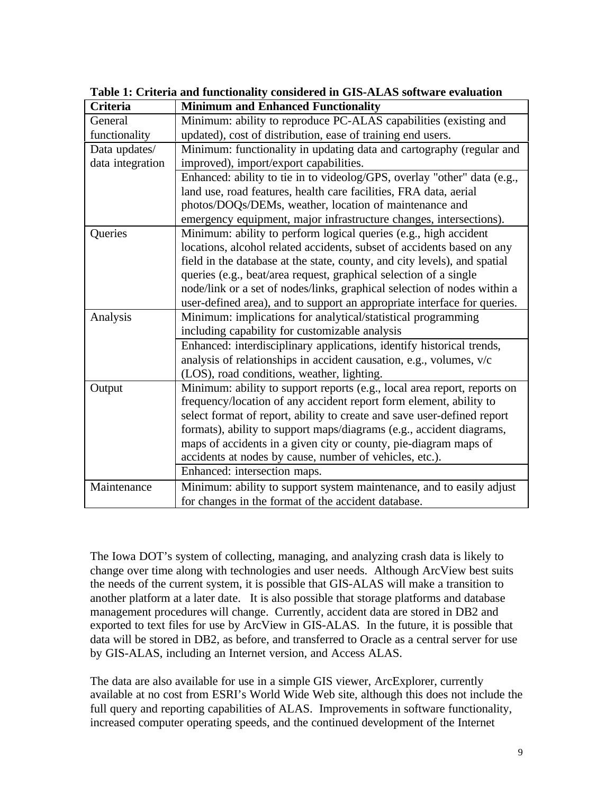| <b>Criteria</b>  | <b>Minimum and Enhanced Functionality</b>                                 |
|------------------|---------------------------------------------------------------------------|
| General          | Minimum: ability to reproduce PC-ALAS capabilities (existing and          |
| functionality    | updated), cost of distribution, ease of training end users.               |
| Data updates/    | Minimum: functionality in updating data and cartography (regular and      |
| data integration | improved), import/export capabilities.                                    |
|                  | Enhanced: ability to tie in to videolog/GPS, overlay "other" data (e.g.,  |
|                  | land use, road features, health care facilities, FRA data, aerial         |
|                  | photos/DOQs/DEMs, weather, location of maintenance and                    |
|                  | emergency equipment, major infrastructure changes, intersections).        |
| Queries          | Minimum: ability to perform logical queries (e.g., high accident          |
|                  | locations, alcohol related accidents, subset of accidents based on any    |
|                  | field in the database at the state, county, and city levels), and spatial |
|                  | queries (e.g., beat/area request, graphical selection of a single         |
|                  | node/link or a set of nodes/links, graphical selection of nodes within a  |
|                  | user-defined area), and to support an appropriate interface for queries.  |
| Analysis         | Minimum: implications for analytical/statistical programming              |
|                  | including capability for customizable analysis                            |
|                  | Enhanced: interdisciplinary applications, identify historical trends,     |
|                  | analysis of relationships in accident causation, e.g., volumes, v/c       |
|                  | (LOS), road conditions, weather, lighting.                                |
| Output           | Minimum: ability to support reports (e.g., local area report, reports on  |
|                  | frequency/location of any accident report form element, ability to        |
|                  | select format of report, ability to create and save user-defined report   |
|                  | formats), ability to support maps/diagrams (e.g., accident diagrams,      |
|                  | maps of accidents in a given city or county, pie-diagram maps of          |
|                  | accidents at nodes by cause, number of vehicles, etc.).                   |
|                  | Enhanced: intersection maps.                                              |
| Maintenance      | Minimum: ability to support system maintenance, and to easily adjust      |
|                  | for changes in the format of the accident database.                       |

**Table 1: Criteria and functionality considered in GIS-ALAS software evaluation**

The Iowa DOT's system of collecting, managing, and analyzing crash data is likely to change over time along with technologies and user needs. Although ArcView best suits the needs of the current system, it is possible that GIS-ALAS will make a transition to another platform at a later date. It is also possible that storage platforms and database management procedures will change. Currently, accident data are stored in DB2 and exported to text files for use by ArcView in GIS-ALAS. In the future, it is possible that data will be stored in DB2, as before, and transferred to Oracle as a central server for use by GIS-ALAS, including an Internet version, and Access ALAS.

The data are also available for use in a simple GIS viewer, ArcExplorer, currently available at no cost from ESRI's World Wide Web site, although this does not include the full query and reporting capabilities of ALAS. Improvements in software functionality, increased computer operating speeds, and the continued development of the Internet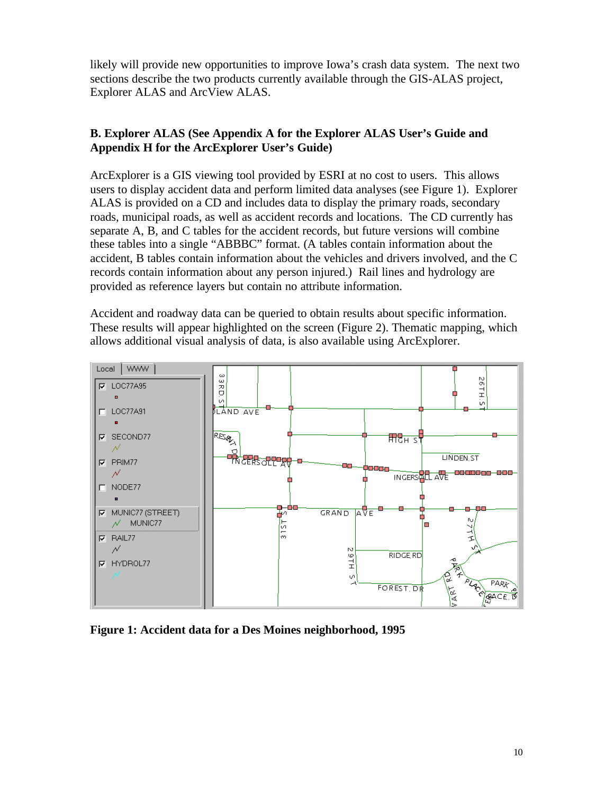likely will provide new opportunities to improve Iowa's crash data system. The next two sections describe the two products currently available through the GIS-ALAS project, Explorer ALAS and ArcView ALAS.

### **B. Explorer ALAS (See Appendix A for the Explorer ALAS User's Guide and Appendix H for the ArcExplorer User's Guide)**

ArcExplorer is a GIS viewing tool provided by ESRI at no cost to users. This allows users to display accident data and perform limited data analyses (see Figure 1). Explorer ALAS is provided on a CD and includes data to display the primary roads, secondary roads, municipal roads, as well as accident records and locations. The CD currently has separate A, B, and C tables for the accident records, but future versions will combine these tables into a single "ABBBC" format. (A tables contain information about the accident, B tables contain information about the vehicles and drivers involved, and the C records contain information about any person injured.) Rail lines and hydrology are provided as reference layers but contain no attribute information.

Accident and roadway data can be queried to obtain results about specific information. These results will appear highlighted on the screen (Figure 2). Thematic mapping, which allows additional visual analysis of data, is also available using ArcExplorer.



**Figure 1: Accident data for a Des Moines neighborhood, 1995**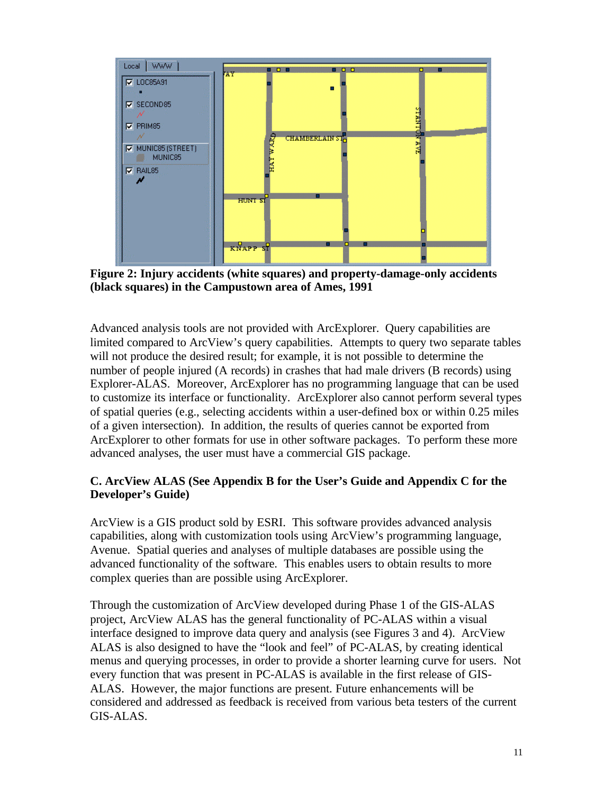

**Figure 2: Injury accidents (white squares) and property-damage-only accidents (black squares) in the Campustown area of Ames, 1991**

Advanced analysis tools are not provided with ArcExplorer. Query capabilities are limited compared to ArcView's query capabilities. Attempts to query two separate tables will not produce the desired result; for example, it is not possible to determine the number of people injured (A records) in crashes that had male drivers (B records) using Explorer-ALAS. Moreover, ArcExplorer has no programming language that can be used to customize its interface or functionality. ArcExplorer also cannot perform several types of spatial queries (e.g., selecting accidents within a user-defined box or within 0.25 miles of a given intersection). In addition, the results of queries cannot be exported from ArcExplorer to other formats for use in other software packages. To perform these more advanced analyses, the user must have a commercial GIS package.

#### **C. ArcView ALAS (See Appendix B for the User's Guide and Appendix C for the Developer's Guide)**

ArcView is a GIS product sold by ESRI. This software provides advanced analysis capabilities, along with customization tools using ArcView's programming language, Avenue. Spatial queries and analyses of multiple databases are possible using the advanced functionality of the software. This enables users to obtain results to more complex queries than are possible using ArcExplorer.

Through the customization of ArcView developed during Phase 1 of the GIS-ALAS project, ArcView ALAS has the general functionality of PC-ALAS within a visual interface designed to improve data query and analysis (see Figures 3 and 4). ArcView ALAS is also designed to have the "look and feel" of PC-ALAS, by creating identical menus and querying processes, in order to provide a shorter learning curve for users. Not every function that was present in PC-ALAS is available in the first release of GIS-ALAS. However, the major functions are present. Future enhancements will be considered and addressed as feedback is received from various beta testers of the current GIS-ALAS.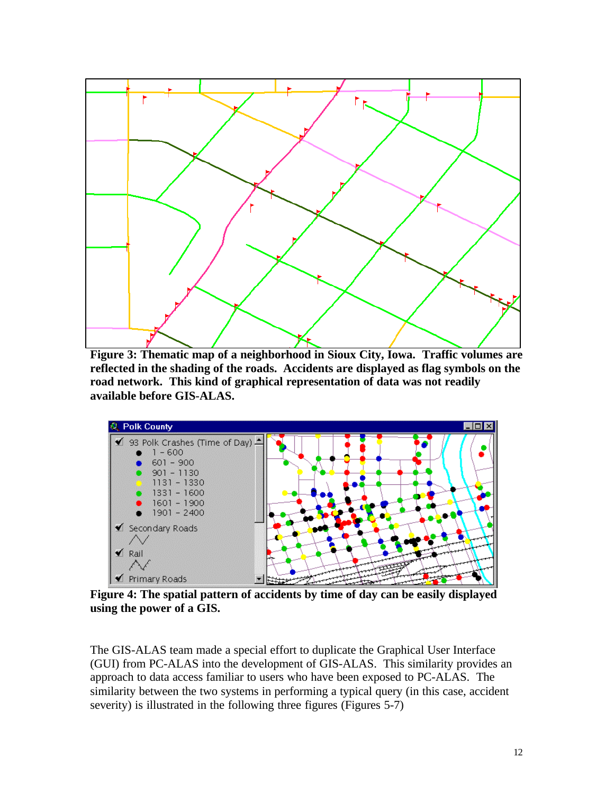

**Figure 3: Thematic map of a neighborhood in Sioux City, Iowa. Traffic volumes are reflected in the shading of the roads. Accidents are displayed as flag symbols on the road network. This kind of graphical representation of data was not readily available before GIS-ALAS.**



**Figure 4: The spatial pattern of accidents by time of day can be easily displayed using the power of a GIS.**

The GIS-ALAS team made a special effort to duplicate the Graphical User Interface (GUI) from PC-ALAS into the development of GIS-ALAS. This similarity provides an approach to data access familiar to users who have been exposed to PC-ALAS. The similarity between the two systems in performing a typical query (in this case, accident severity) is illustrated in the following three figures (Figures 5-7)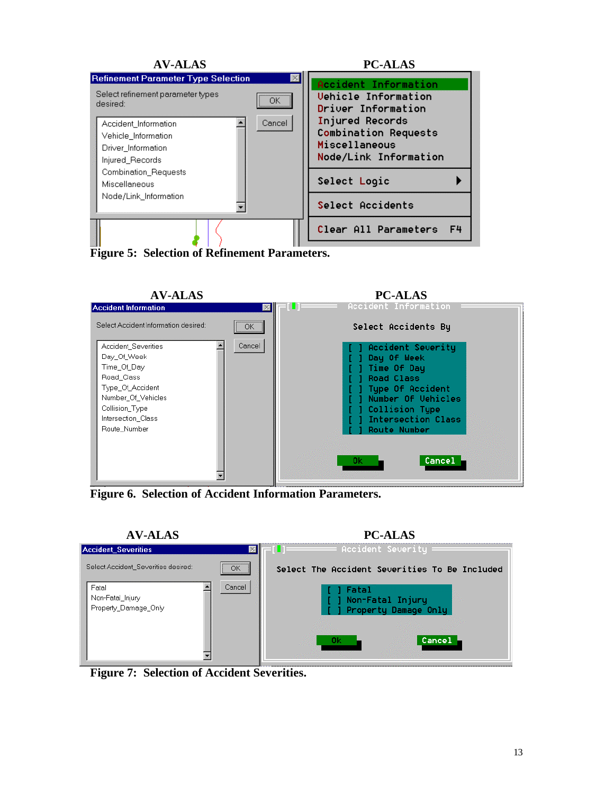



**Figure 6. Selection of Accident Information Parameters.**



**Figure 7: Selection of Accident Severities.**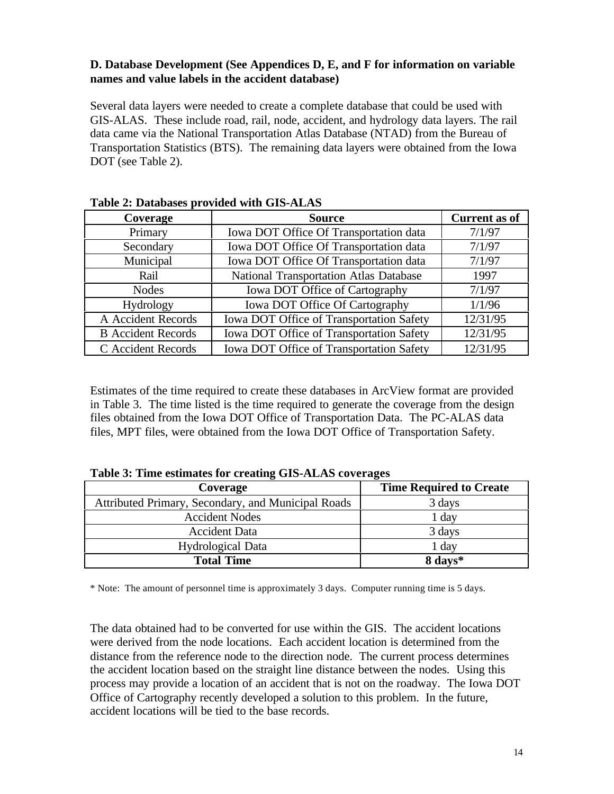#### **D. Database Development (See Appendices D, E, and F for information on variable names and value labels in the accident database)**

Several data layers were needed to create a complete database that could be used with GIS-ALAS. These include road, rail, node, accident, and hydrology data layers. The rail data came via the National Transportation Atlas Database (NTAD) from the Bureau of Transportation Statistics (BTS). The remaining data layers were obtained from the Iowa DOT (see Table 2).

| Table 2. Databases provided with GIS-ALAS |                                          |                      |  |  |  |  |
|-------------------------------------------|------------------------------------------|----------------------|--|--|--|--|
| Coverage                                  | <b>Source</b>                            | <b>Current as of</b> |  |  |  |  |
| Primary                                   | Iowa DOT Office Of Transportation data   | 7/1/97               |  |  |  |  |
| Secondary                                 | Iowa DOT Office Of Transportation data   | 7/1/97               |  |  |  |  |
| Municipal                                 | Iowa DOT Office Of Transportation data   | 7/1/97               |  |  |  |  |
| Rail                                      | National Transportation Atlas Database   | 1997                 |  |  |  |  |
| <b>Nodes</b>                              | Iowa DOT Office of Cartography           | 7/1/97               |  |  |  |  |
| Hydrology                                 | Iowa DOT Office Of Cartography           | 1/1/96               |  |  |  |  |
| A Accident Records                        | Iowa DOT Office of Transportation Safety | 12/31/95             |  |  |  |  |
| <b>B</b> Accident Records                 | Iowa DOT Office of Transportation Safety | 12/31/95             |  |  |  |  |
| C Accident Records                        | Iowa DOT Office of Transportation Safety | 12/31/95             |  |  |  |  |

| Table 2: Databases provided with GIS-ALAS |  |  |  |
|-------------------------------------------|--|--|--|
|-------------------------------------------|--|--|--|

Estimates of the time required to create these databases in ArcView format are provided in Table 3. The time listed is the time required to generate the coverage from the design files obtained from the Iowa DOT Office of Transportation Data. The PC-ALAS data files, MPT files, were obtained from the Iowa DOT Office of Transportation Safety.

| Coverage                                           | <b>Time Required to Create</b> |  |
|----------------------------------------------------|--------------------------------|--|
| Attributed Primary, Secondary, and Municipal Roads | 3 days                         |  |
| <b>Accident Nodes</b>                              | $1$ day                        |  |
| <b>Accident Data</b>                               | 3 days                         |  |
| <b>Hydrological Data</b>                           | 1 day                          |  |
| <b>Total Time</b>                                  | 8 days*                        |  |

\* Note: The amount of personnel time is approximately 3 days. Computer running time is 5 days.

The data obtained had to be converted for use within the GIS. The accident locations were derived from the node locations. Each accident location is determined from the distance from the reference node to the direction node. The current process determines the accident location based on the straight line distance between the nodes. Using this process may provide a location of an accident that is not on the roadway. The Iowa DOT Office of Cartography recently developed a solution to this problem. In the future, accident locations will be tied to the base records.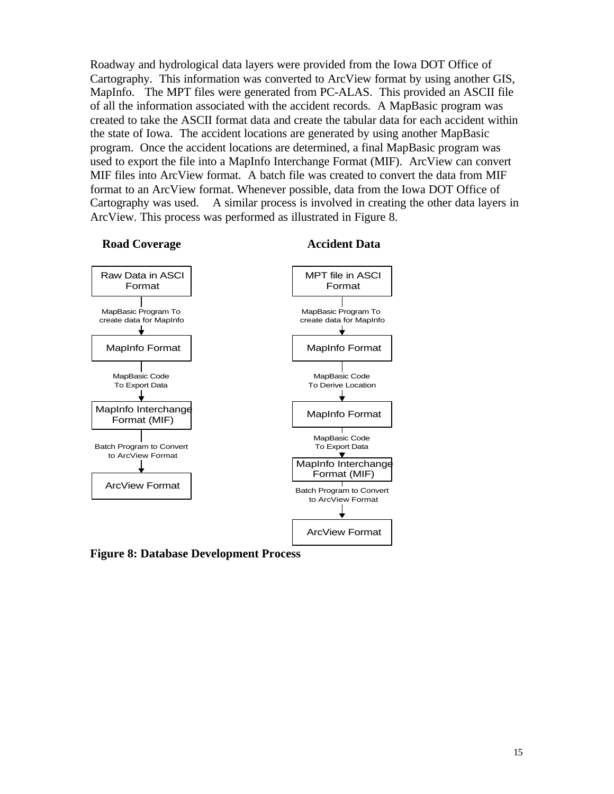Roadway and hydrological data layers were provided from the Iowa DOT Office of Cartography. This information was converted to ArcView format by using another GIS, MapInfo. The MPT files were generated from PC-ALAS. This provided an ASCII file of all the information associated with the accident records. A MapBasic program was created to take the ASCII format data and create the tabular data for each accident within the state of Iowa. The accident locations are generated by using another MapBasic program. Once the accident locations are determined, a final MapBasic program was used to export the file into a MapInfo Interchange Format (MIF). ArcView can convert MIF files into ArcView format. A batch file was created to convert the data from MIF format to an ArcView format. Whenever possible, data from the Iowa DOT Office of Cartography was used. A similar process is involved in creating the other data layers in ArcView. This process was performed as illustrated in Figure 8.



**Figure 8: Database Development Process**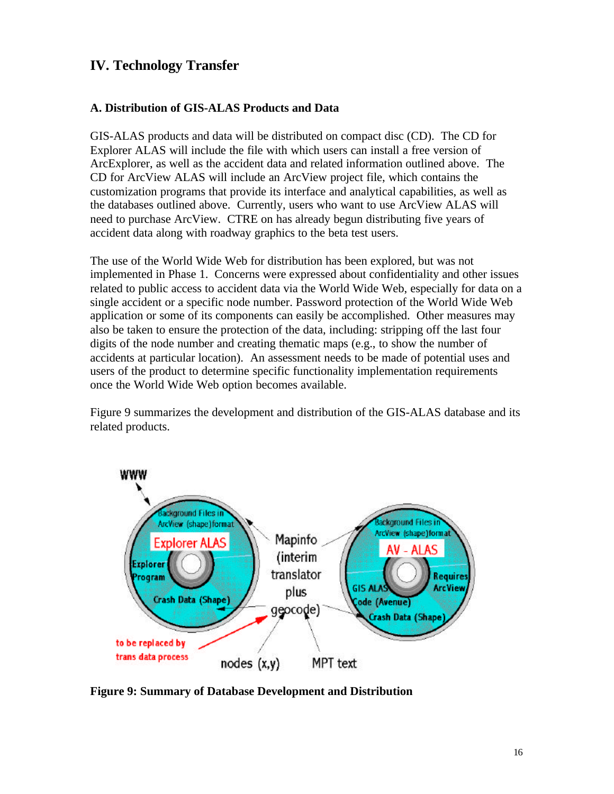## <span id="page-17-0"></span>**IV. Technology Transfer**

#### **A. Distribution of GIS-ALAS Products and Data**

GIS-ALAS products and data will be distributed on compact disc (CD). The CD for Explorer ALAS will include the file with which users can install a free version of ArcExplorer, as well as the accident data and related information outlined above. The CD for ArcView ALAS will include an ArcView project file, which contains the customization programs that provide its interface and analytical capabilities, as well as the databases outlined above. Currently, users who want to use ArcView ALAS will need to purchase ArcView. CTRE on has already begun distributing five years of accident data along with roadway graphics to the beta test users.

The use of the World Wide Web for distribution has been explored, but was not implemented in Phase 1. Concerns were expressed about confidentiality and other issues related to public access to accident data via the World Wide Web, especially for data on a single accident or a specific node number. Password protection of the World Wide Web application or some of its components can easily be accomplished. Other measures may also be taken to ensure the protection of the data, including: stripping off the last four digits of the node number and creating thematic maps (e.g., to show the number of accidents at particular location). An assessment needs to be made of potential uses and users of the product to determine specific functionality implementation requirements once the World Wide Web option becomes available.

Figure 9 summarizes the development and distribution of the GIS-ALAS database and its related products.



**Figure 9: Summary of Database Development and Distribution**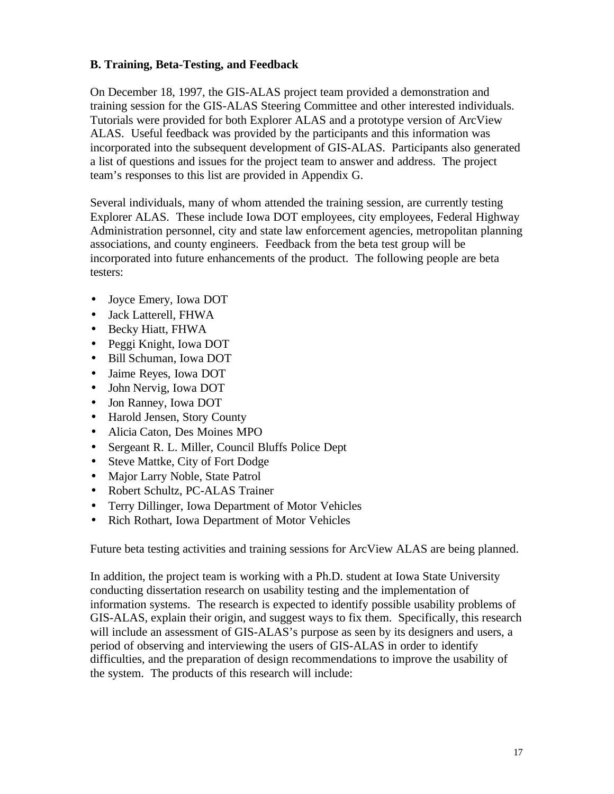#### **B. Training, Beta-Testing, and Feedback**

On December 18, 1997, the GIS-ALAS project team provided a demonstration and training session for the GIS-ALAS Steering Committee and other interested individuals. Tutorials were provided for both Explorer ALAS and a prototype version of ArcView ALAS. Useful feedback was provided by the participants and this information was incorporated into the subsequent development of GIS-ALAS. Participants also generated a list of questions and issues for the project team to answer and address. The project team's responses to this list are provided in Appendix G.

Several individuals, many of whom attended the training session, are currently testing Explorer ALAS. These include Iowa DOT employees, city employees, Federal Highway Administration personnel, city and state law enforcement agencies, metropolitan planning associations, and county engineers. Feedback from the beta test group will be incorporated into future enhancements of the product. The following people are beta testers:

- Joyce Emery, Iowa DOT
- Jack Latterell, FHWA
- Becky Hiatt, FHWA
- Peggi Knight, Iowa DOT
- Bill Schuman, Iowa DOT
- Jaime Reyes, Iowa DOT
- John Nervig, Iowa DOT
- Jon Ranney, Iowa DOT
- Harold Jensen, Story County
- Alicia Caton, Des Moines MPO
- Sergeant R. L. Miller, Council Bluffs Police Dept
- Steve Mattke, City of Fort Dodge
- Major Larry Noble, State Patrol
- Robert Schultz, PC-ALAS Trainer
- Terry Dillinger, Iowa Department of Motor Vehicles
- Rich Rothart, Iowa Department of Motor Vehicles

Future beta testing activities and training sessions for ArcView ALAS are being planned.

In addition, the project team is working with a Ph.D. student at Iowa State University conducting dissertation research on usability testing and the implementation of information systems. The research is expected to identify possible usability problems of GIS-ALAS, explain their origin, and suggest ways to fix them. Specifically, this research will include an assessment of GIS-ALAS's purpose as seen by its designers and users, a period of observing and interviewing the users of GIS-ALAS in order to identify difficulties, and the preparation of design recommendations to improve the usability of the system. The products of this research will include: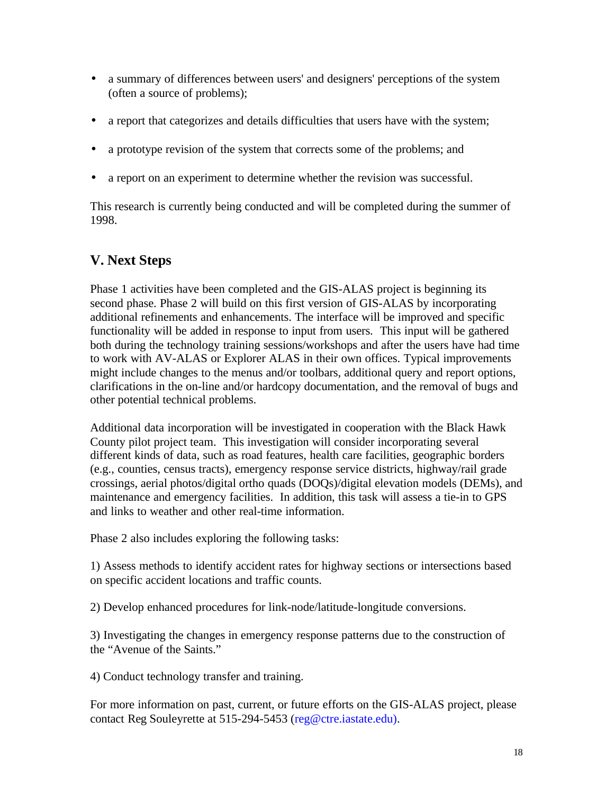- <span id="page-19-0"></span>• a summary of differences between users' and designers' perceptions of the system (often a source of problems);
- a report that categorizes and details difficulties that users have with the system;
- a prototype revision of the system that corrects some of the problems; and
- a report on an experiment to determine whether the revision was successful.

This research is currently being conducted and will be completed during the summer of 1998.

# **V. Next Steps**

Phase 1 activities have been completed and the GIS-ALAS project is beginning its second phase. Phase 2 will build on this first version of GIS-ALAS by incorporating additional refinements and enhancements. The interface will be improved and specific functionality will be added in response to input from users. This input will be gathered both during the technology training sessions/workshops and after the users have had time to work with AV-ALAS or Explorer ALAS in their own offices. Typical improvements might include changes to the menus and/or toolbars, additional query and report options, clarifications in the on-line and/or hardcopy documentation, and the removal of bugs and other potential technical problems.

Additional data incorporation will be investigated in cooperation with the Black Hawk County pilot project team. This investigation will consider incorporating several different kinds of data, such as road features, health care facilities, geographic borders (e.g., counties, census tracts), emergency response service districts, highway/rail grade crossings, aerial photos/digital ortho quads (DOQs)/digital elevation models (DEMs), and maintenance and emergency facilities. In addition, this task will assess a tie-in to GPS and links to weather and other real-time information.

Phase 2 also includes exploring the following tasks:

1) Assess methods to identify accident rates for highway sections or intersections based on specific accident locations and traffic counts.

2) Develop enhanced procedures for link-node/latitude-longitude conversions.

3) Investigating the changes in emergency response patterns due to the construction of the "Avenue of the Saints."

4) Conduct technology transfer and training.

For more information on past, current, or future efforts on the GIS-ALAS project, please contact Reg Souleyrette at 515-294-5453 (reg@ctre.iastate.edu).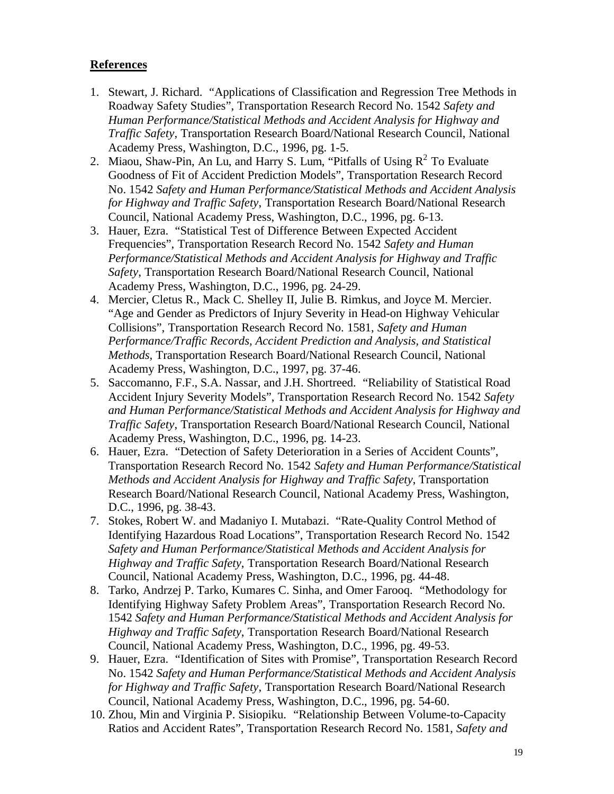#### <span id="page-20-0"></span>**References**

- 1. Stewart, J. Richard. "Applications of Classification and Regression Tree Methods in Roadway Safety Studies", Transportation Research Record No. 1542 *Safety and Human Performance/Statistical Methods and Accident Analysis for Highway and Traffic Safety*, Transportation Research Board/National Research Council, National Academy Press, Washington, D.C., 1996, pg. 1-5.
- 2. Miaou, Shaw-Pin, An Lu, and Harry S. Lum, "Pitfalls of Using  $R^2$  To Evaluate Goodness of Fit of Accident Prediction Models", Transportation Research Record No. 1542 *Safety and Human Performance/Statistical Methods and Accident Analysis for Highway and Traffic Safety*, Transportation Research Board/National Research Council, National Academy Press, Washington, D.C., 1996, pg. 6-13.
- 3. Hauer, Ezra. "Statistical Test of Difference Between Expected Accident Frequencies", Transportation Research Record No. 1542 *Safety and Human Performance/Statistical Methods and Accident Analysis for Highway and Traffic Safety*, Transportation Research Board/National Research Council, National Academy Press, Washington, D.C., 1996, pg. 24-29.
- 4. Mercier, Cletus R., Mack C. Shelley II, Julie B. Rimkus, and Joyce M. Mercier. "Age and Gender as Predictors of Injury Severity in Head-on Highway Vehicular Collisions", Transportation Research Record No. 1581, *Safety and Human Performance/Traffic Records, Accident Prediction and Analysis, and Statistical Methods*, Transportation Research Board/National Research Council, National Academy Press, Washington, D.C., 1997, pg. 37-46.
- 5. Saccomanno, F.F., S.A. Nassar, and J.H. Shortreed. "Reliability of Statistical Road Accident Injury Severity Models", Transportation Research Record No. 1542 *Safety and Human Performance/Statistical Methods and Accident Analysis for Highway and Traffic Safety*, Transportation Research Board/National Research Council, National Academy Press, Washington, D.C., 1996, pg. 14-23.
- 6. Hauer, Ezra. "Detection of Safety Deterioration in a Series of Accident Counts", Transportation Research Record No. 1542 *Safety and Human Performance/Statistical Methods and Accident Analysis for Highway and Traffic Safety*, Transportation Research Board/National Research Council, National Academy Press, Washington, D.C., 1996, pg. 38-43.
- 7. Stokes, Robert W. and Madaniyo I. Mutabazi. "Rate-Quality Control Method of Identifying Hazardous Road Locations", Transportation Research Record No. 1542 *Safety and Human Performance/Statistical Methods and Accident Analysis for Highway and Traffic Safety*, Transportation Research Board/National Research Council, National Academy Press, Washington, D.C., 1996, pg. 44-48.
- 8. Tarko, Andrzej P. Tarko, Kumares C. Sinha, and Omer Farooq. "Methodology for Identifying Highway Safety Problem Areas", Transportation Research Record No. 1542 *Safety and Human Performance/Statistical Methods and Accident Analysis for Highway and Traffic Safety*, Transportation Research Board/National Research Council, National Academy Press, Washington, D.C., 1996, pg. 49-53.
- 9. Hauer, Ezra. "Identification of Sites with Promise", Transportation Research Record No. 1542 *Safety and Human Performance/Statistical Methods and Accident Analysis for Highway and Traffic Safety*, Transportation Research Board/National Research Council, National Academy Press, Washington, D.C., 1996, pg. 54-60.
- 10. Zhou, Min and Virginia P. Sisiopiku. "Relationship Between Volume-to-Capacity Ratios and Accident Rates", Transportation Research Record No. 1581, *Safety and*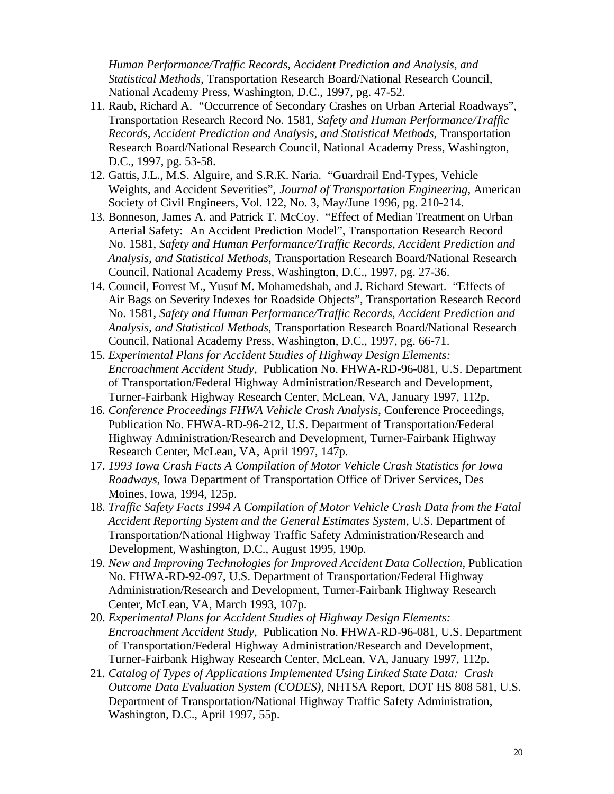*Human Performance/Traffic Records, Accident Prediction and Analysis, and Statistical Methods*, Transportation Research Board/National Research Council, National Academy Press, Washington, D.C., 1997, pg. 47-52.

- 11. Raub, Richard A. "Occurrence of Secondary Crashes on Urban Arterial Roadways", Transportation Research Record No. 1581, *Safety and Human Performance/Traffic Records, Accident Prediction and Analysis, and Statistical Methods*, Transportation Research Board/National Research Council, National Academy Press, Washington, D.C., 1997, pg. 53-58.
- 12. Gattis, J.L., M.S. Alguire, and S.R.K. Naria. "Guardrail End-Types, Vehicle Weights, and Accident Severities", *Journal of Transportation Engineering*, American Society of Civil Engineers, Vol. 122, No. 3, May/June 1996, pg. 210-214.
- 13. Bonneson, James A. and Patrick T. McCoy. "Effect of Median Treatment on Urban Arterial Safety: An Accident Prediction Model", Transportation Research Record No. 1581, *Safety and Human Performance/Traffic Records, Accident Prediction and Analysis, and Statistical Methods*, Transportation Research Board/National Research Council, National Academy Press, Washington, D.C., 1997, pg. 27-36.
- 14. Council, Forrest M., Yusuf M. Mohamedshah, and J. Richard Stewart. "Effects of Air Bags on Severity Indexes for Roadside Objects", Transportation Research Record No. 1581, *Safety and Human Performance/Traffic Records, Accident Prediction and Analysis, and Statistical Methods*, Transportation Research Board/National Research Council, National Academy Press, Washington, D.C., 1997, pg. 66-71.
- 15. *Experimental Plans for Accident Studies of Highway Design Elements: Encroachment Accident Study*, Publication No. FHWA-RD-96-081, U.S. Department of Transportation/Federal Highway Administration/Research and Development, Turner-Fairbank Highway Research Center, McLean, VA, January 1997, 112p.
- 16. *Conference Proceedings FHWA Vehicle Crash Analysis*, Conference Proceedings, Publication No. FHWA-RD-96-212, U.S. Department of Transportation/Federal Highway Administration/Research and Development, Turner-Fairbank Highway Research Center, McLean, VA, April 1997, 147p.
- 17. *1993 Iowa Crash Facts A Compilation of Motor Vehicle Crash Statistics for Iowa Roadways*, Iowa Department of Transportation Office of Driver Services, Des Moines, Iowa, 1994, 125p.
- 18. *Traffic Safety Facts 1994 A Compilation of Motor Vehicle Crash Data from the Fatal Accident Reporting System and the General Estimates System*, U.S. Department of Transportation/National Highway Traffic Safety Administration/Research and Development, Washington, D.C., August 1995, 190p.
- 19. *New and Improving Technologies for Improved Accident Data Collection,* Publication No. FHWA-RD-92-097, U.S. Department of Transportation/Federal Highway Administration/Research and Development, Turner-Fairbank Highway Research Center, McLean, VA, March 1993, 107p.
- 20. *Experimental Plans for Accident Studies of Highway Design Elements: Encroachment Accident Study*, Publication No. FHWA-RD-96-081, U.S. Department of Transportation/Federal Highway Administration/Research and Development, Turner-Fairbank Highway Research Center, McLean, VA, January 1997, 112p.
- 21. *Catalog of Types of Applications Implemented Using Linked State Data: Crash Outcome Data Evaluation System (CODES)*, NHTSA Report, DOT HS 808 581, U.S. Department of Transportation/National Highway Traffic Safety Administration, Washington, D.C., April 1997, 55p.